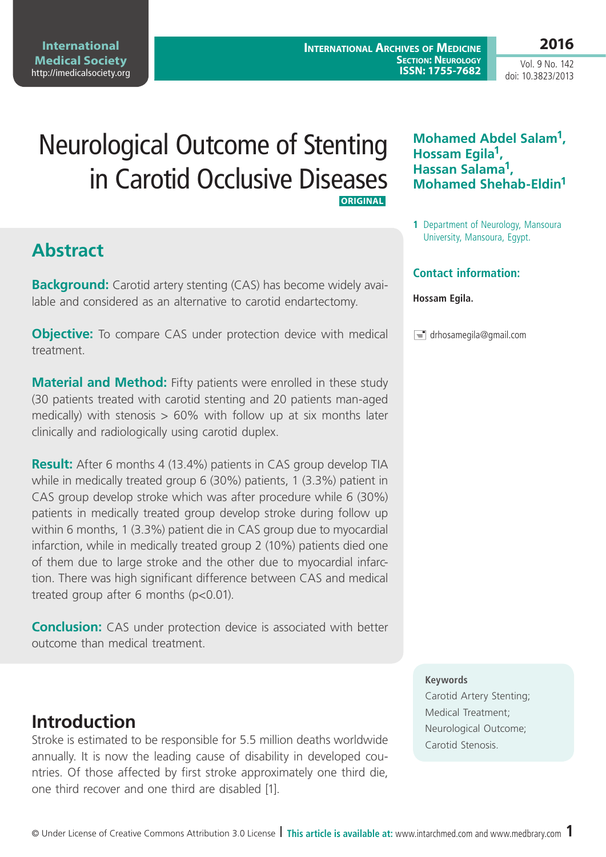**2016**

Vol. 9 No. 142 doi: 10.3823/2013

# Neurological Outcome of Stenting in Carotid Occlusive Diseases **ORIGINAL**

# **Abstract**

**Background:** Carotid artery stenting (CAS) has become widely available and considered as an alternative to carotid endartectomy.

**Objective:** To compare CAS under protection device with medical treatment.

**Material and Method:** Fifty patients were enrolled in these study (30 patients treated with carotid stenting and 20 patients man-aged medically) with stenosis  $> 60\%$  with follow up at six months later clinically and radiologically using carotid duplex.

**Result:** After 6 months 4 (13.4%) patients in CAS group develop TIA while in medically treated group 6 (30%) patients, 1 (3.3%) patient in CAS group develop stroke which was after procedure while 6 (30%) patients in medically treated group develop stroke during follow up within 6 months, 1 (3.3%) patient die in CAS group due to myocardial infarction, while in medically treated group 2 (10%) patients died one of them due to large stroke and the other due to myocardial infarction. There was high significant difference between CAS and medical treated group after 6 months (p<0.01).

**Conclusion:** CAS under protection device is associated with better outcome than medical treatment.

## **Introduction**

Stroke is estimated to be responsible for 5.5 million deaths worldwide annually. It is now the leading cause of disability in developed countries. Of those affected by first stroke approximately one third die, one third recover and one third are disabled [1].

### **Mohamed Abdel Salam1, Hossam Egila1, Hassan Salama1, Mohamed Shehab-Eldin1**

**1** Department of Neurology, Mansoura University, Mansoura, Egypt.

### **Contact information:**

#### **Hossam Egila.**

 $\equiv$  drhosamegila@gmail.com

#### **Keywords**

Carotid Artery Stenting; Medical Treatment; Neurological Outcome; Carotid Stenosis.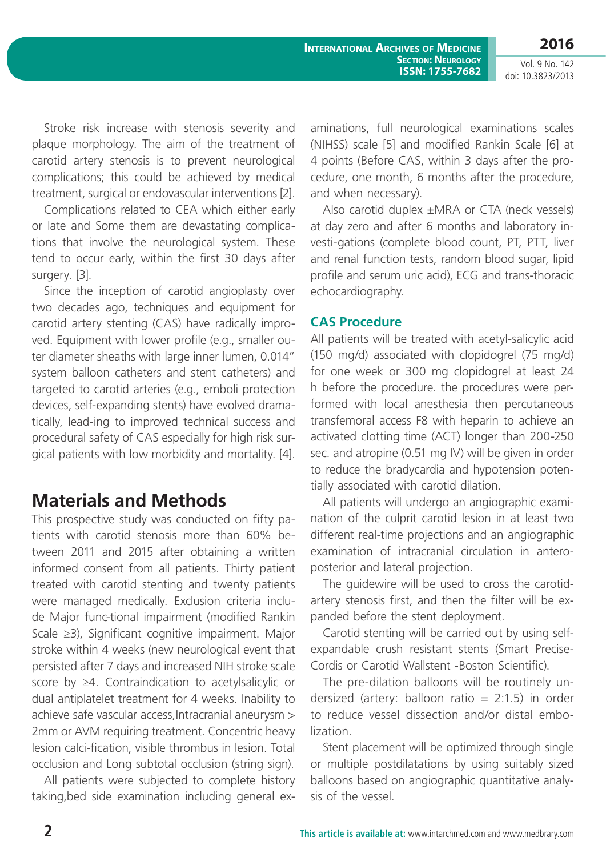**International Archives of Medicine Section: Neurology 2016**

**ISSN: 1755-7682**

Vol. 9 No. 142 doi: 10.3823/2013

Stroke risk increase with stenosis severity and plaque morphology. The aim of the treatment of carotid artery stenosis is to prevent neurological complications; this could be achieved by medical treatment, surgical or endovascular interventions [2].

Complications related to CEA which either early or late and Some them are devastating complications that involve the neurological system. These tend to occur early, within the first 30 days after surgery. [3].

Since the inception of carotid angioplasty over two decades ago, techniques and equipment for carotid artery stenting (CAS) have radically improved. Equipment with lower profile (e.g., smaller outer diameter sheaths with large inner lumen, 0.014" system balloon catheters and stent catheters) and targeted to carotid arteries (e.g., emboli protection devices, self-expanding stents) have evolved dramatically, lead-ing to improved technical success and procedural safety of CAS especially for high risk surgical patients with low morbidity and mortality. [4].

### **Materials and Methods**

This prospective study was conducted on fifty patients with carotid stenosis more than 60% between 2011 and 2015 after obtaining a written informed consent from all patients. Thirty patient treated with carotid stenting and twenty patients were managed medically. Exclusion criteria include Major func-tional impairment (modified Rankin Scale ≥3), Significant cognitive impairment. Major stroke within 4 weeks (new neurological event that persisted after 7 days and increased NIH stroke scale score by ≥4. Contraindication to acetylsalicylic or dual antiplatelet treatment for 4 weeks. Inability to achieve safe vascular access,Intracranial aneurysm > 2mm or AVM requiring treatment. Concentric heavy lesion calci-fication, visible thrombus in lesion. Total occlusion and Long subtotal occlusion (string sign).

All patients were subjected to complete history taking,bed side examination including general examinations, full neurological examinations scales (NIHSS) scale [5] and modified Rankin Scale [6] at 4 points (Before CAS, within 3 days after the procedure, one month, 6 months after the procedure, and when necessary).

Also carotid duplex ±MRA or CTA (neck vessels) at day zero and after 6 months and laboratory investi-gations (complete blood count, PT, PTT, liver and renal function tests, random blood sugar, lipid profile and serum uric acid), ECG and trans-thoracic echocardiography.

#### **CAS Procedure**

All patients will be treated with acetyl-salicylic acid (150 mg/d) associated with clopidogrel (75 mg/d) for one week or 300 mg clopidogrel at least 24 h before the procedure. the procedures were performed with local anesthesia then percutaneous transfemoral access F8 with heparin to achieve an activated clotting time (ACT) longer than 200-250 sec. and atropine (0.51 mg IV) will be given in order to reduce the bradycardia and hypotension potentially associated with carotid dilation.

All patients will undergo an angiographic examination of the culprit carotid lesion in at least two different real-time projections and an angiographic examination of intracranial circulation in anteroposterior and lateral projection.

The guidewire will be used to cross the carotidartery stenosis first, and then the filter will be expanded before the stent deployment.

Carotid stenting will be carried out by using selfexpandable crush resistant stents (Smart Precise-Cordis or Carotid Wallstent -Boston Scientific).

The pre-dilation balloons will be routinely undersized (artery: balloon ratio =  $2:1.5$ ) in order to reduce vessel dissection and/or distal embolization.

Stent placement will be optimized through single or multiple postdilatations by using suitably sized balloons based on angiographic quantitative analysis of the vessel.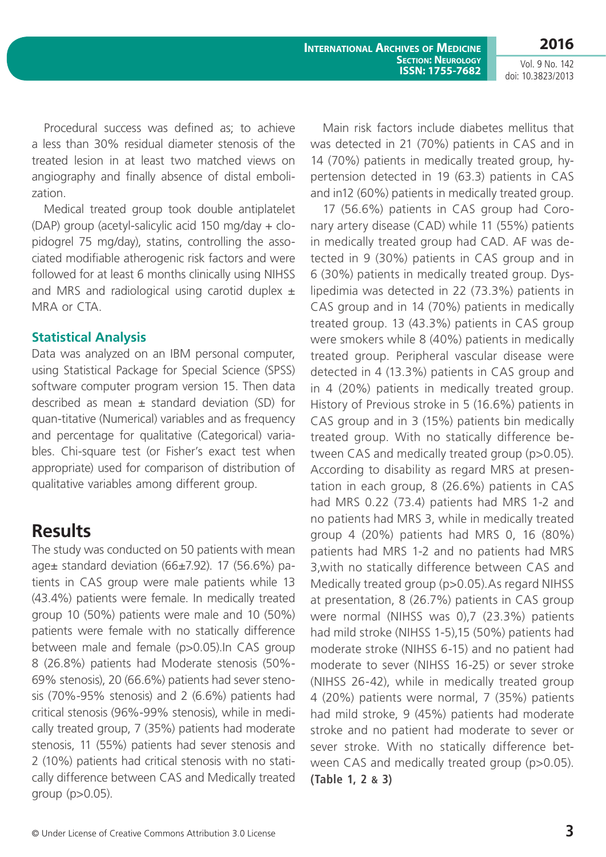**International Archives of Medicine**

Vol. 9 No. 142 doi: 10.3823/2013

Procedural success was defined as; to achieve a less than 30% residual diameter stenosis of the treated lesion in at least two matched views on angiography and finally absence of distal embolization.

Medical treated group took double antiplatelet (DAP) group (acetyl-salicylic acid 150 mg/day + clopidogrel 75 mg/day), statins, controlling the associated modifiable atherogenic risk factors and were followed for at least 6 months clinically using NIHSS and MRS and radiological using carotid duplex  $\pm$ MRA or CTA.

### **Statistical Analysis**

Data was analyzed on an IBM personal computer, using Statistical Package for Special Science (SPSS) software computer program version 15. Then data described as mean  $\pm$  standard deviation (SD) for quan-titative (Numerical) variables and as frequency and percentage for qualitative (Categorical) variables. Chi-square test (or Fisher's exact test when appropriate) used for comparison of distribution of qualitative variables among different group.

### **Results**

The study was conducted on 50 patients with mean age± standard deviation (66±7.92). 17 (56.6%) patients in CAS group were male patients while 13 (43.4%) patients were female. In medically treated group 10 (50%) patients were male and 10 (50%) patients were female with no statically difference between male and female (p>0.05).In CAS group 8 (26.8%) patients had Moderate stenosis (50%- 69% stenosis), 20 (66.6%) patients had sever stenosis (70%-95% stenosis) and 2 (6.6%) patients had critical stenosis (96%-99% stenosis), while in medically treated group, 7 (35%) patients had moderate stenosis, 11 (55%) patients had sever stenosis and 2 (10%) patients had critical stenosis with no statically difference between CAS and Medically treated group (p>0.05).

Main risk factors include diabetes mellitus that was detected in 21 (70%) patients in CAS and in 14 (70%) patients in medically treated group, hypertension detected in 19 (63.3) patients in CAS and in12 (60%) patients in medically treated group.

**Section: Neurology ISSN: 1755-7682**

17 (56.6%) patients in CAS group had Coronary artery disease (CAD) while 11 (55%) patients in medically treated group had CAD. AF was detected in 9 (30%) patients in CAS group and in 6 (30%) patients in medically treated group. Dyslipedimia was detected in 22 (73.3%) patients in CAS group and in 14 (70%) patients in medically treated group. 13 (43.3%) patients in CAS group were smokers while 8 (40%) patients in medically treated group. Peripheral vascular disease were detected in 4 (13.3%) patients in CAS group and in 4 (20%) patients in medically treated group. History of Previous stroke in 5 (16.6%) patients in CAS group and in 3 (15%) patients bin medically treated group. With no statically difference between CAS and medically treated group (p>0.05). According to disability as regard MRS at presentation in each group, 8 (26.6%) patients in CAS had MRS 0.22 (73.4) patients had MRS 1-2 and no patients had MRS 3, while in medically treated group 4 (20%) patients had MRS 0, 16 (80%) patients had MRS 1-2 and no patients had MRS 3,with no statically difference between CAS and Medically treated group (p>0.05).As regard NIHSS at presentation, 8 (26.7%) patients in CAS group were normal (NIHSS was 0),7 (23.3%) patients had mild stroke (NIHSS 1-5),15 (50%) patients had moderate stroke (NIHSS 6-15) and no patient had moderate to sever (NIHSS 16-25) or sever stroke (NIHSS 26-42), while in medically treated group 4 (20%) patients were normal, 7 (35%) patients had mild stroke, 9 (45%) patients had moderate stroke and no patient had moderate to sever or sever stroke. With no statically difference between CAS and medically treated group (p>0.05). **(Table 1, 2 & 3)**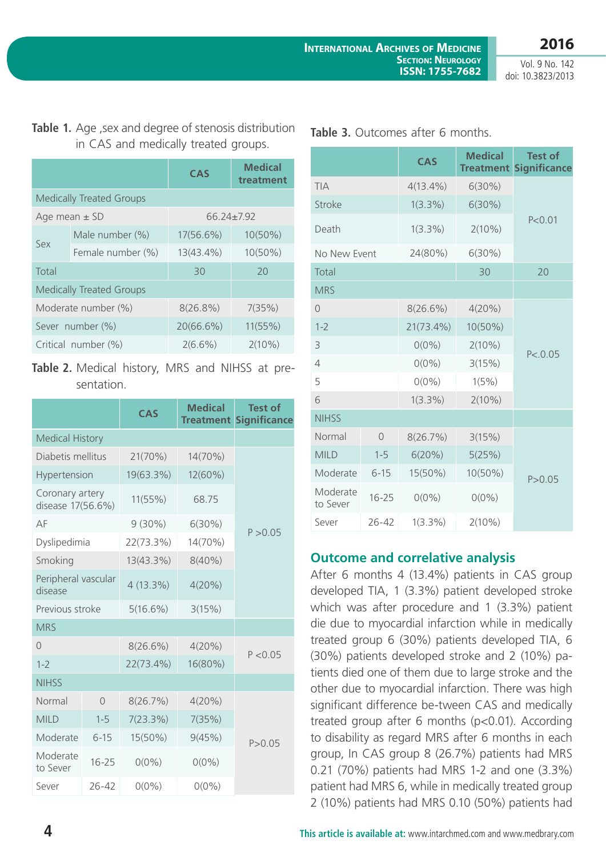Vol. 9 No. 142 doi: 10.3823/2013

### Table 1. Age , sex and degree of stenosis distribution in CAS and medically treated groups.

|                                 |                                 | <b>CAS</b>       | <b>Medical</b><br>treatment |  |  |  |
|---------------------------------|---------------------------------|------------------|-----------------------------|--|--|--|
| <b>Medically Treated Groups</b> |                                 |                  |                             |  |  |  |
| Age mean $\pm$ SD               |                                 | $66.24 \pm 7.92$ |                             |  |  |  |
| Sex                             | Male number (%)                 | 17(56.6%)        | $10(50\%)$                  |  |  |  |
|                                 | Female number (%)               | 13(43.4%)        | $10(50\%)$                  |  |  |  |
| Total                           |                                 | 30               | 20                          |  |  |  |
|                                 | <b>Medically Treated Groups</b> |                  |                             |  |  |  |
| Moderate number (%)             |                                 | $8(26.8\%)$      | 7(35%)                      |  |  |  |
| Sever number (%)                |                                 | 20(66.6%)        | 11(55%)                     |  |  |  |
| Critical number (%)             |                                 | $2(6.6\%)$       | $2(10\%)$                   |  |  |  |

### **Table 2.** Medical history, MRS and NIHSS at presentation.

|                                      |           | CAS         | <b>Medical</b><br><b>Treatment</b> | <b>Test of</b><br><b>Significance</b> |
|--------------------------------------|-----------|-------------|------------------------------------|---------------------------------------|
| <b>Medical History</b>               |           |             |                                    |                                       |
| Diabetis mellitus                    |           | 21(70%)     | 14(70%)                            |                                       |
| Hypertension                         |           | 19(63.3%)   | 12(60%)                            | P > 0.05                              |
| Coronary artery<br>disease 17(56.6%) |           | 11(55%)     | 68.75                              |                                       |
| AF                                   |           | $9(30\%)$   | $6(30\%)$                          |                                       |
| Dyslipedimia                         |           | 22(73.3%)   | 14(70%)                            |                                       |
| Smoking                              |           | 13(43.3%)   | $8(40\%)$                          |                                       |
| Peripheral vascular<br>disease       |           | $4(13.3\%)$ | 4(20%)                             |                                       |
| Previous stroke                      |           | 5(16.6%)    | 3(15%)                             |                                       |
| <b>MRS</b>                           |           |             |                                    |                                       |
| $\Omega$                             |           | 8(26.6%)    | 4(20%)                             | P < 0.05                              |
| $1 - 2$                              |           | 22(73.4%)   | 16(80%)                            |                                       |
| <b>NIHSS</b>                         |           |             |                                    |                                       |
| Normal                               | $\circ$   | 8(26.7%)    | 4(20%)                             |                                       |
| <b>MILD</b>                          | $1 - 5$   | 7(23.3%)    | 7(35%)                             |                                       |
| Moderate                             | $6 - 15$  | 15(50%)     | 9(45%)                             | P > 0.05                              |
| Moderate<br>to Sever                 | $16 - 25$ | $0(0\%)$    | $0(0\%)$                           |                                       |
| Sever                                | $26 - 42$ | $0(0\%)$    | $0(0\%)$                           |                                       |

|                      |                | <b>CAS</b>   | <b>Medical</b><br><b>Treatment</b> | <b>Test of</b><br><b>Significance</b> |
|----------------------|----------------|--------------|------------------------------------|---------------------------------------|
| <b>TIA</b>           |                | $4(13.4\%)$  | $6(30\%)$                          | P < 0.01                              |
| Stroke               |                | $1(3.3\%)$   | 6(30%)                             |                                       |
| Death                |                | $1(3.3\%)$   | $2(10\%)$                          |                                       |
| No New Event         |                | 24(80%)      | $6(30\%)$                          |                                       |
| Total                |                |              | 30                                 | 20                                    |
| <b>MRS</b>           |                |              |                                    |                                       |
| $\Omega$             |                | $8(26.6\%)$  | 4(20%)                             |                                       |
| $1 - 2$              |                | $21(73.4\%)$ | 10(50%)                            | P < 0.05                              |
| 3                    |                | $0(0\%)$     | $2(10\%)$                          |                                       |
| 4                    |                | $0(0\%)$     | 3(15%)                             |                                       |
| 5                    |                | $0(0\%)$     | 1(5%)                              |                                       |
| 6                    |                | $1(3.3\%)$   | $2(10\%)$                          |                                       |
| <b>NIHSS</b>         |                |              |                                    |                                       |
| Normal               | $\overline{0}$ | 8(26.7%)     | 3(15%)                             |                                       |
| <b>MILD</b>          | $1 - 5$        | 6(20%)       | 5(25%)                             |                                       |
| Moderate             | $6 - 15$       | 15(50%)      | 10(50%)                            | P > 0.05                              |
| Moderate<br>to Sever | $16 - 25$      | $0(0\%)$     | $0(0\%)$                           |                                       |
| Sever                | $26 - 42$      | $1(3.3\%)$   | $2(10\%)$                          |                                       |

### **Table 3.** Outcomes after 6 months.

### **Outcome and correlative analysis**

After 6 months 4 (13.4%) patients in CAS group developed TIA, 1 (3.3%) patient developed stroke which was after procedure and 1 (3.3%) patient die due to myocardial infarction while in medically treated group 6 (30%) patients developed TIA, 6 (30%) patients developed stroke and 2 (10%) patients died one of them due to large stroke and the other due to myocardial infarction. There was high significant difference be-tween CAS and medically treated group after 6 months (p<0.01). According to disability as regard MRS after 6 months in each group, In CAS group 8 (26.7%) patients had MRS 0.21 (70%) patients had MRS 1-2 and one (3.3%) patient had MRS 6, while in medically treated group 2 (10%) patients had MRS 0.10 (50%) patients had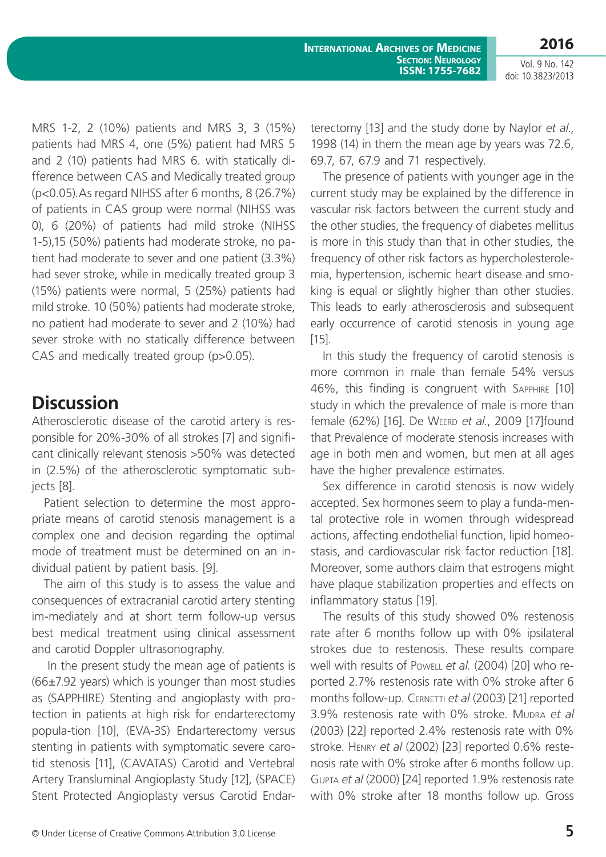Vol. 9 No. 142 doi: 10.3823/2013

MRS 1-2, 2 (10%) patients and MRS 3, 3 (15%) patients had MRS 4, one (5%) patient had MRS 5 and 2 (10) patients had MRS 6. with statically difference between CAS and Medically treated group (p<0.05).As regard NIHSS after 6 months, 8 (26.7%) of patients in CAS group were normal (NIHSS was 0), 6 (20%) of patients had mild stroke (NIHSS 1-5),15 (50%) patients had moderate stroke, no patient had moderate to sever and one patient (3.3%) had sever stroke, while in medically treated group 3 (15%) patients were normal, 5 (25%) patients had mild stroke. 10 (50%) patients had moderate stroke, no patient had moderate to sever and 2 (10%) had sever stroke with no statically difference between CAS and medically treated group (p>0.05).

### **Discussion**

Atherosclerotic disease of the carotid artery is responsible for 20%-30% of all strokes [7] and significant clinically relevant stenosis >50% was detected in (2.5%) of the atherosclerotic symptomatic subjects [8].

Patient selection to determine the most appropriate means of carotid stenosis management is a complex one and decision regarding the optimal mode of treatment must be determined on an individual patient by patient basis. [9].

The aim of this study is to assess the value and consequences of extracranial carotid artery stenting im-mediately and at short term follow-up versus best medical treatment using clinical assessment and carotid Doppler ultrasonography.

 In the present study the mean age of patients is (66±7.92 years) which is younger than most studies as (SAPPHIRE) Stenting and angioplasty with protection in patients at high risk for endarterectomy popula-tion [10], (EVA-3S) Endarterectomy versus stenting in patients with symptomatic severe carotid stenosis [11], (CAVATAS) Carotid and Vertebral Artery Transluminal Angioplasty Study [12], (SPACE) Stent Protected Angioplasty versus Carotid Endarterectomy [13] and the study done by Naylor *et al*., 1998 (14) in them the mean age by years was 72.6, 69.7, 67, 67.9 and 71 respectively.

The presence of patients with younger age in the current study may be explained by the difference in vascular risk factors between the current study and the other studies, the frequency of diabetes mellitus is more in this study than that in other studies, the frequency of other risk factors as hypercholesterolemia, hypertension, ischemic heart disease and smoking is equal or slightly higher than other studies. This leads to early atherosclerosis and subsequent early occurrence of carotid stenosis in young age [15].

In this study the frequency of carotid stenosis is more common in male than female 54% versus 46%, this finding is congruent with Sapphire [10] study in which the prevalence of male is more than female (62%) [16]. De Weerd *et al.*, 2009 [17]found that Prevalence of moderate stenosis increases with age in both men and women, but men at all ages have the higher prevalence estimates.

Sex difference in carotid stenosis is now widely accepted. Sex hormones seem to play a funda-mental protective role in women through widespread actions, affecting endothelial function, lipid homeostasis, and cardiovascular risk factor reduction [18]. Moreover, some authors claim that estrogens might have plaque stabilization properties and effects on inflammatory status [19].

The results of this study showed 0% restenosis rate after 6 months follow up with 0% ipsilateral strokes due to restenosis. These results compare well with results of Powell *et al.* (2004) [20] who reported 2.7% restenosis rate with 0% stroke after 6 months follow-up. CERNETTI *et al* (2003) [21] reported 3.9% restenosis rate with 0% stroke. Mudra *et al* (2003) [22] reported 2.4% restenosis rate with 0% stroke. Henry *et al* (2002) [23] reported 0.6% restenosis rate with 0% stroke after 6 months follow up. Gupta *et al* (2000) [24] reported 1.9% restenosis rate with 0% stroke after 18 months follow up. Gross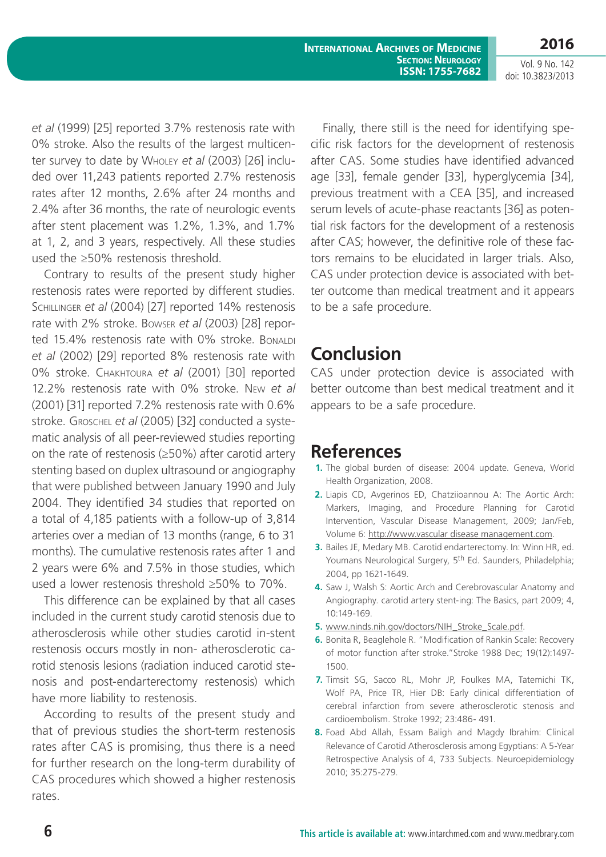**International Archives of Medicine Section: Neurology ISSN: 1755-7682** **2016**

Vol. 9 No. 142 doi: 10.3823/2013

*et al* (1999) [25] reported 3.7% restenosis rate with 0% stroke. Also the results of the largest multicenter survey to date by Wholey *et al* (2003) [26] included over 11,243 patients reported 2.7% restenosis rates after 12 months, 2.6% after 24 months and 2.4% after 36 months, the rate of neurologic events after stent placement was 1.2%, 1.3%, and 1.7% at 1, 2, and 3 years, respectively. All these studies used the ≥50% restenosis threshold.

Contrary to results of the present study higher restenosis rates were reported by different studies. Schillinger *et al* (2004) [27] reported 14% restenosis rate with 2% stroke. Bowser *et al* (2003) [28] reported 15.4% restenosis rate with 0% stroke. Bonaldi *et al* (2002) [29] reported 8% restenosis rate with 0% stroke. Chakhtoura *et al* (2001) [30] reported 12.2% restenosis rate with 0% stroke. New *et al* (2001) [31] reported 7.2% restenosis rate with 0.6% stroke. Groschel *et al* (2005) [32] conducted a systematic analysis of all peer-reviewed studies reporting on the rate of restenosis (≥50%) after carotid artery stenting based on duplex ultrasound or angiography that were published between January 1990 and July 2004. They identified 34 studies that reported on a total of 4,185 patients with a follow-up of 3,814 arteries over a median of 13 months (range, 6 to 31 months). The cumulative restenosis rates after 1 and 2 years were 6% and 7.5% in those studies, which used a lower restenosis threshold ≥50% to 70%.

This difference can be explained by that all cases included in the current study carotid stenosis due to atherosclerosis while other studies carotid in-stent restenosis occurs mostly in non- atherosclerotic carotid stenosis lesions (radiation induced carotid stenosis and post-endarterectomy restenosis) which have more liability to restenosis.

According to results of the present study and that of previous studies the short-term restenosis rates after CAS is promising, thus there is a need for further research on the long-term durability of CAS procedures which showed a higher restenosis rates.

Finally, there still is the need for identifying specific risk factors for the development of restenosis after CAS. Some studies have identified advanced age [33], female gender [33], hyperglycemia [34], previous treatment with a CEA [35], and increased serum levels of acute-phase reactants [36] as potential risk factors for the development of a restenosis after CAS; however, the definitive role of these factors remains to be elucidated in larger trials. Also, CAS under protection device is associated with better outcome than medical treatment and it appears to be a safe procedure.

### **Conclusion**

CAS under protection device is associated with better outcome than best medical treatment and it appears to be a safe procedure.

### **References**

- **1.** The global burden of disease: 2004 update. Geneva, World Health Organization, 2008.
- **2.** Liapis CD, Avgerinos ED, Chatziioannou A: The Aortic Arch: Markers, Imaging, and Procedure Planning for Carotid Intervention, Vascular Disease Management, 2009; Jan/Feb, Volume 6: [http://www.vascular disease management.com.](http://www.vascular disease management.com)
- **3.** Bailes JE, Medary MB. Carotid endarterectomy. In: Winn HR, ed. Youmans Neurological Surgery, 5<sup>th</sup> Ed. Saunders, Philadelphia; 2004, pp 1621-1649.
- **4.** Saw J, Walsh S: Aortic Arch and Cerebrovascular Anatomy and Angiography. carotid artery stent-ing: The Basics, part 2009; 4, 10:149-169.
- **5.** [www.ninds.nih.gov/doctors/NIH\\_Stroke\\_Scale.pdf.](http://www.ninds.nih.gov/doctors/NIH_Stroke_Scale.pdf)
- **6.** Bonita R, Beaglehole R. "Modification of Rankin Scale: Recovery of motor function after stroke."Stroke 1988 Dec; 19(12):1497- 1500.
- **7.** Timsit SG, Sacco RL, Mohr JP, Foulkes MA, Tatemichi TK, Wolf PA, Price TR, Hier DB: Early clinical differentiation of cerebral infarction from severe atherosclerotic stenosis and cardioembolism. Stroke 1992; 23:486- 491.
- **8.** Foad Abd Allah, Essam Baligh and Magdy Ibrahim: Clinical Relevance of Carotid Atherosclerosis among Egyptians: A 5-Year Retrospective Analysis of 4, 733 Subjects. Neuroepidemiology 2010; 35:275-279.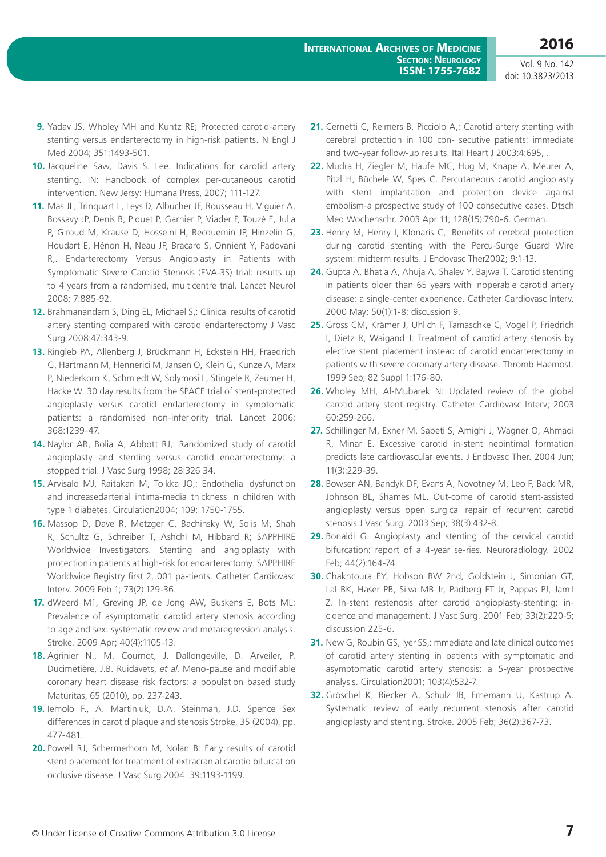Vol. 9 No. 142 doi: 10.3823/2013

- **9.** Yadav JS, Wholey MH and Kuntz RE; Protected carotid-artery stenting versus endarterectomy in high-risk patients. N Engl J Med 2004; 351:1493-501.
- **10.** Jacqueline Saw, Davis S. Lee. Indications for carotid artery stenting. IN: Handbook of complex per-cutaneous carotid intervention. New Jersy: Humana Press, 2007; 111-127.
- **11.** Mas JL, Trinquart L, Leys D, Albucher JF, Rousseau H, Viguier A, Bossavy JP, Denis B, Piquet P, Garnier P, Viader F, Touzé E, Julia P, Giroud M, Krause D, Hosseini H, Becquemin JP, Hinzelin G, Houdart E, Hénon H, Neau JP, Bracard S, Onnient Y, Padovani R,. Endarterectomy Versus Angioplasty in Patients with Symptomatic Severe Carotid Stenosis (EVA-3S) trial: results up to 4 years from a randomised, multicentre trial. Lancet Neurol 2008; 7:885-92.
- **12.** Brahmanandam S, Ding EL, Michael S,: Clinical results of carotid artery stenting compared with carotid endarterectomy J Vasc Surg 2008:47:343-9.
- **13.** Ringleb PA, Allenberg J, Brückmann H, Eckstein HH, Fraedrich G, Hartmann M, Hennerici M, Jansen O, Klein G, Kunze A, Marx P, Niederkorn K, Schmiedt W, Solymosi L, Stingele R, Zeumer H, Hacke W. 30 day results from the SPACE trial of stent-protected angioplasty versus carotid endarterectomy in symptomatic patients: a randomised non-inferiority trial. Lancet 2006; 368:1239-47.
- **14.** Naylor AR, Bolia A, Abbott RJ,: Randomized study of carotid angioplasty and stenting versus carotid endarterectomy: a stopped trial. J Vasc Surg 1998; 28:326 34.
- **15.** Arvisalo MJ, Raitakari M, Toikka JO,: Endothelial dysfunction and increasedarterial intima-media thickness in children with type 1 diabetes. Circulation2004; 109: 1750-1755.
- **16.** Massop D, Dave R, Metzger C, Bachinsky W, Solis M, Shah R, Schultz G, Schreiber T, Ashchi M, Hibbard R; SAPPHIRE Worldwide Investigators. Stenting and angioplasty with protection in patients at high-risk for endarterectomy: SAPPHIRE Worldwide Registry first 2, 001 pa-tients. Catheter Cardiovasc Interv. 2009 Feb 1; 73(2):129-36.
- **17.** dWeerd M1, Greving JP, de Jong AW, Buskens E, Bots ML: Prevalence of asymptomatic carotid artery stenosis according to age and sex: systematic review and metaregression analysis. Stroke. 2009 Apr; 40(4):1105-13.
- **18.** Agrinier N., M. Cournot, J. Dallongeville, D. Arveiler, P. Ducimetière, J.B. Ruidavets, *et al*. Meno-pause and modifiable coronary heart disease risk factors: a population based study Maturitas, 65 (2010), pp. 237-243.
- **19.** Iemolo F., A. Martiniuk, D.A. Steinman, J.D. Spence Sex differences in carotid plaque and stenosis Stroke, 35 (2004), pp. 477-481.
- **20.** Powell RJ, Schermerhorn M, Nolan B: Early results of carotid stent placement for treatment of extracranial carotid bifurcation occlusive disease. J Vasc Surg 2004. 39:1193-1199.
- **21.** Cernetti C, Reimers B, Picciolo A,: Carotid artery stenting with cerebral protection in 100 con- secutive patients: immediate and two-year follow-up results. Ital Heart J 2003:4:695, .
- **22.** Mudra H, Ziegler M, Haufe MC, Hug M, Knape A, Meurer A, Pitzl H, Büchele W, Spes C. Percutaneous carotid angioplasty with stent implantation and protection device against embolism-a prospective study of 100 consecutive cases. Dtsch Med Wochenschr. 2003 Apr 11; 128(15):790-6. German.
- **23.** Henry M, Henry I, Klonaris C,: Benefits of cerebral protection during carotid stenting with the Percu-Surge Guard Wire system: midterm results. J Endovasc Ther2002; 9:1-13.
- **24.** Gupta A, Bhatia A, Ahuja A, Shalev Y, Bajwa T. Carotid stenting in patients older than 65 years with inoperable carotid artery disease: a single-center experience. Catheter Cardiovasc Interv. 2000 May; 50(1):1-8; discussion 9.
- **25.** Gross CM, Krämer J, Uhlich F, Tamaschke C, Vogel P, Friedrich I, Dietz R, Waigand J. Treatment of carotid artery stenosis by elective stent placement instead of carotid endarterectomy in patients with severe coronary artery disease. Thromb Haemost. 1999 Sep; 82 Suppl 1:176-80.
- **26.** Wholey MH, Al-Mubarek N: Updated review of the global carotid artery stent registry. Catheter Cardiovasc Interv; 2003 60:259-266.
- **27.** Schillinger M, Exner M, Sabeti S, Amighi J, Wagner O, Ahmadi R, Minar E. Excessive carotid in-stent neointimal formation predicts late cardiovascular events. J Endovasc Ther. 2004 Jun; 11(3):229-39.
- **28.** Bowser AN, Bandyk DF, Evans A, Novotney M, Leo F, Back MR, Johnson BL, Shames ML. Out-come of carotid stent-assisted angioplasty versus open surgical repair of recurrent carotid stenosis.J Vasc Surg. 2003 Sep; 38(3):432-8.
- **29.** Bonaldi G. Angioplasty and stenting of the cervical carotid bifurcation: report of a 4-year se-ries. Neuroradiology. 2002 Feb; 44(2):164-74.
- **30.** Chakhtoura EY, Hobson RW 2nd, Goldstein J, Simonian GT, Lal BK, Haser PB, Silva MB Jr, Padberg FT Jr, Pappas PJ, Jamil Z. In-stent restenosis after carotid angioplasty-stenting: incidence and management. J Vasc Surg. 2001 Feb; 33(2):220-5; discussion 225-6.
- **31.** New G, Roubin GS, Iyer SS,: mmediate and late clinical outcomes of carotid artery stenting in patients with symptomatic and asymptomatic carotid artery stenosis: a 5-year prospective analysis. Circulation2001; 103(4):532-7.
- **32.** Gröschel K, Riecker A, Schulz JB, Ernemann U, Kastrup A. Systematic review of early recurrent stenosis after carotid angioplasty and stenting. Stroke. 2005 Feb; 36(2):367-73.